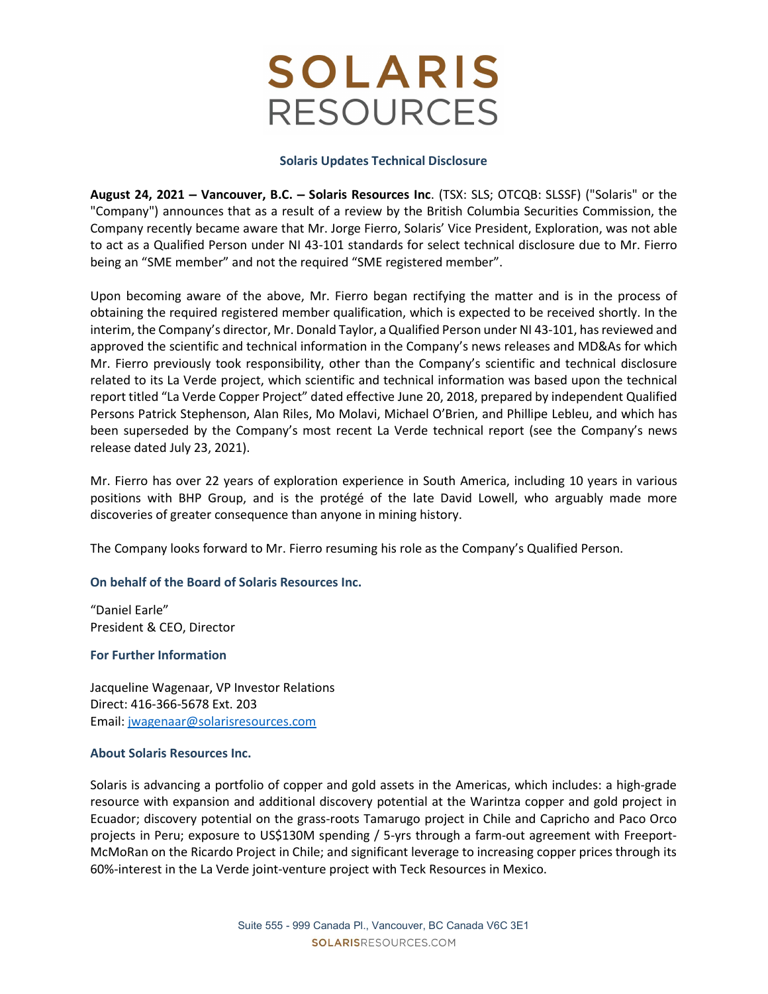# **SOLARIS RESOURCES**

### Solaris Updates Technical Disclosure

August 24, 2021 – Vancouver, B.C. – Solaris Resources Inc. (TSX: SLS; OTCQB: SLSSF) ("Solaris" or the "Company") announces that as a result of a review by the British Columbia Securities Commission, the Company recently became aware that Mr. Jorge Fierro, Solaris' Vice President, Exploration, was not able to act as a Qualified Person under NI 43-101 standards for select technical disclosure due to Mr. Fierro being an "SME member" and not the required "SME registered member".

Upon becoming aware of the above, Mr. Fierro began rectifying the matter and is in the process of obtaining the required registered member qualification, which is expected to be received shortly. In the interim, the Company's director, Mr. Donald Taylor, a Qualified Person under NI 43-101, has reviewed and approved the scientific and technical information in the Company's news releases and MD&As for which Mr. Fierro previously took responsibility, other than the Company's scientific and technical disclosure related to its La Verde project, which scientific and technical information was based upon the technical report titled "La Verde Copper Project" dated effective June 20, 2018, prepared by independent Qualified Persons Patrick Stephenson, Alan Riles, Mo Molavi, Michael O'Brien, and Phillipe Lebleu, and which has been superseded by the Company's most recent La Verde technical report (see the Company's news release dated July 23, 2021).

Mr. Fierro has over 22 years of exploration experience in South America, including 10 years in various positions with BHP Group, and is the protégé of the late David Lowell, who arguably made more discoveries of greater consequence than anyone in mining history.

The Company looks forward to Mr. Fierro resuming his role as the Company's Qualified Person.

### On behalf of the Board of Solaris Resources Inc.

"Daniel Earle" President & CEO, Director

### For Further Information

Jacqueline Wagenaar, VP Investor Relations Direct: 416-366-5678 Ext. 203 Email: jwagenaar@solarisresources.com

### About Solaris Resources Inc.

Solaris is advancing a portfolio of copper and gold assets in the Americas, which includes: a high-grade resource with expansion and additional discovery potential at the Warintza copper and gold project in Ecuador; discovery potential on the grass-roots Tamarugo project in Chile and Capricho and Paco Orco projects in Peru; exposure to US\$130M spending / 5-yrs through a farm-out agreement with Freeport-McMoRan on the Ricardo Project in Chile; and significant leverage to increasing copper prices through its 60%-interest in the La Verde joint-venture project with Teck Resources in Mexico.